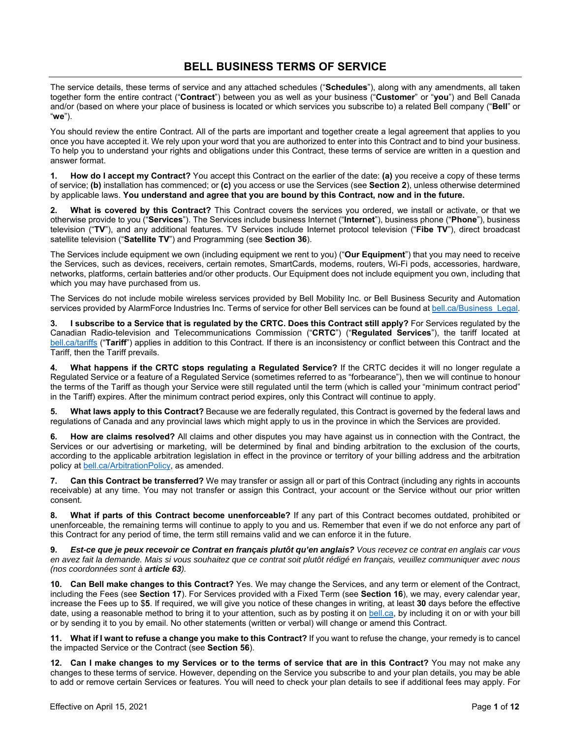#### **BELL BUSINESS TERMS OF SERVICE**

The service details, these terms of service and any attached schedules ("**Schedules**"), along with any amendments, all taken together form the entire contract ("**Contract**") between you as well as your business ("**Customer**" or "**you**") and Bell Canada and/or (based on where your place of business is located or which services you subscribe to) a related Bell company ("**Bell**" or "**we**").

You should review the entire Contract. All of the parts are important and together create a legal agreement that applies to you once you have accepted it. We rely upon your word that you are authorized to enter into this Contract and to bind your business. To help you to understand your rights and obligations under this Contract, these terms of service are written in a question and answer format.

**1. How do I accept my Contract?** You accept this Contract on the earlier of the date: **(a)** you receive a copy of these terms of service; **(b)** installation has commenced; or **(c)** you access or use the Services (see **Section 2**), unless otherwise determined by applicable laws. **You understand and agree that you are bound by this Contract, now and in the future.**

**2. What is covered by this Contract?** This Contract covers the services you ordered, we install or activate, or that we otherwise provide to you ("**Services**"). The Services include business Internet ("**Internet**"), business phone ("**Phone**"), business television ("**TV**"), and any additional features. TV Services include Internet protocol television ("**Fibe TV**"), direct broadcast satellite television ("**Satellite TV**") and Programming (see **Section 36**).

The Services include equipment we own (including equipment we rent to you) ("**Our Equipment**") that you may need to receive the Services, such as devices, receivers, certain remotes, SmartCards, modems, routers, Wi-Fi pods, accessories, hardware, networks, platforms, certain batteries and/or other products. Our Equipment does not include equipment you own, including that which you may have purchased from us.

The Services do not include mobile wireless services provided by Bell Mobility Inc. or Bell Business Security and Automation services provided by AlarmForce Industries Inc. Terms of service for other Bell services can be found at bell.ca/Business\_Legal.

**3. I subscribe to a Service that is regulated by the CRTC. Does this Contract still apply?** For Services regulated by the Canadian Radio-television and Telecommunications Commission ("**CRTC**") ("**Regulated Services**"), the tariff located at bell.ca/tariffs ("**Tariff**") applies in addition to this Contract. If there is an inconsistency or conflict between this Contract and the Tariff, then the Tariff prevails.

**4. What happens if the CRTC stops regulating a Regulated Service?** If the CRTC decides it will no longer regulate a Regulated Service or a feature of a Regulated Service (sometimes referred to as "forbearance"), then we will continue to honour the terms of the Tariff as though your Service were still regulated until the term (which is called your "minimum contract period" in the Tariff) expires. After the minimum contract period expires, only this Contract will continue to apply.

**5. What laws apply to this Contract?** Because we are federally regulated, this Contract is governed by the federal laws and regulations of Canada and any provincial laws which might apply to us in the province in which the Services are provided.

**6. How are claims resolved?** All claims and other disputes you may have against us in connection with the Contract, the Services or our advertising or marketing, will be determined by final and binding arbitration to the exclusion of the courts, according to the applicable arbitration legislation in effect in the province or territory of your billing address and the arbitration policy at bell.ca/ArbitrationPolicy, as amended.

**7. Can this Contract be transferred?** We may transfer or assign all or part of this Contract (including any rights in accounts receivable) at any time. You may not transfer or assign this Contract, your account or the Service without our prior written consent.

**8. What if parts of this Contract become unenforceable?** If any part of this Contract becomes outdated, prohibited or unenforceable, the remaining terms will continue to apply to you and us. Remember that even if we do not enforce any part of this Contract for any period of time, the term still remains valid and we can enforce it in the future.

**9.** *Est-ce que je peux recevoir ce Contrat en français plutôt qu'en anglais? Vous recevez ce contrat en anglais car vous en avez fait la demande. Mais si vous souhaitez que ce contrat soit plutôt rédigé en français, veuillez communiquer avec nous (nos coordonnées sont à article 63).*

**10. Can Bell make changes to this Contract?** Yes. We may change the Services, and any term or element of the Contract, including the Fees (see **Section 17**). For Services provided with a Fixed Term (see **Section 16**), we may, every calendar year, increase the Fees up to \$**5**. If required, we will give you notice of these changes in writing, at least **30** days before the effective date, using a reasonable method to bring it to your attention, such as by posting it on bell.ca, by including it on or with your bill or by sending it to you by email. No other statements (written or verbal) will change or amend this Contract.

**11. What if I want to refuse a change you make to this Contract?** If you want to refuse the change, your remedy is to cancel the impacted Service or the Contract (see **Section 56**).

**12. Can I make changes to my Services or to the terms of service that are in this Contract?** You may not make any changes to these terms of service. However, depending on the Service you subscribe to and your plan details, you may be able to add or remove certain Services or features. You will need to check your plan details to see if additional fees may apply. For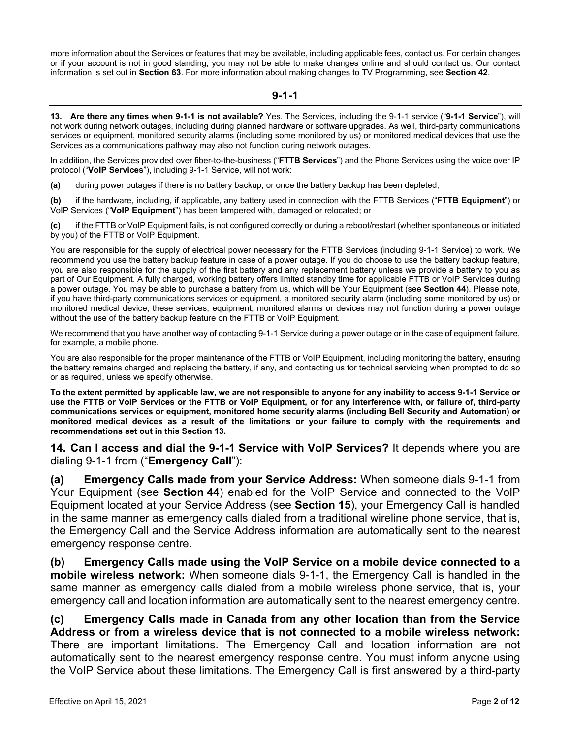more information about the Services or features that may be available, including applicable fees, contact us. For certain changes or if your account is not in good standing, you may not be able to make changes online and should contact us. Our contact information is set out in **Section 63**. For more information about making changes to TV Programming, see **Section 42**.

#### **9-1-1**

**13. Are there any times when 9-1-1 is not available?** Yes. The Services, including the 9-1-1 service ("**9-1-1 Service**"), will not work during network outages, including during planned hardware or software upgrades. As well, third-party communications services or equipment, monitored security alarms (including some monitored by us) or monitored medical devices that use the Services as a communications pathway may also not function during network outages.

In addition, the Services provided over fiber-to-the-business ("**FTTB Services**") and the Phone Services using the voice over IP protocol ("**VoIP Services**"), including 9-1-1 Service, will not work:

**(a)** during power outages if there is no battery backup, or once the battery backup has been depleted;

**(b)** if the hardware, including, if applicable, any battery used in connection with the FTTB Services ("**FTTB Equipment**") or VoIP Services ("**VoIP Equipment**") has been tampered with, damaged or relocated; or

**(c)** if the FTTB or VoIP Equipment fails, is not configured correctly or during a reboot/restart (whether spontaneous or initiated by you) of the FTTB or VoIP Equipment.

You are responsible for the supply of electrical power necessary for the FTTB Services (including 9-1-1 Service) to work. We recommend you use the battery backup feature in case of a power outage. If you do choose to use the battery backup feature, you are also responsible for the supply of the first battery and any replacement battery unless we provide a battery to you as part of Our Equipment. A fully charged, working battery offers limited standby time for applicable FTTB or VoIP Services during a power outage. You may be able to purchase a battery from us, which will be Your Equipment (see **Section 44**). Please note, if you have third-party communications services or equipment, a monitored security alarm (including some monitored by us) or monitored medical device, these services, equipment, monitored alarms or devices may not function during a power outage without the use of the battery backup feature on the FTTB or VoIP Equipment.

We recommend that you have another way of contacting 9-1-1 Service during a power outage or in the case of equipment failure, for example, a mobile phone.

You are also responsible for the proper maintenance of the FTTB or VoIP Equipment, including monitoring the battery, ensuring the battery remains charged and replacing the battery, if any, and contacting us for technical servicing when prompted to do so or as required, unless we specify otherwise.

**To the extent permitted by applicable law, we are not responsible to anyone for any inability to access 9-1-1 Service or use the FTTB or VoIP Services or the FTTB or VoIP Equipment, or for any interference with, or failure of, third-party communications services or equipment, monitored home security alarms (including Bell Security and Automation) or monitored medical devices as a result of the limitations or your failure to comply with the requirements and recommendations set out in this Section 13.**

**14. Can I access and dial the 9-1-1 Service with VoIP Services?** It depends where you are dialing 9-1-1 from ("**Emergency Call**"):

**(a) Emergency Calls made from your Service Address:** When someone dials 9-1-1 from Your Equipment (see **Section 44**) enabled for the VoIP Service and connected to the VoIP Equipment located at your Service Address (see **Section 15**), your Emergency Call is handled in the same manner as emergency calls dialed from a traditional wireline phone service, that is, the Emergency Call and the Service Address information are automatically sent to the nearest emergency response centre.

**(b) Emergency Calls made using the VoIP Service on a mobile device connected to a mobile wireless network:** When someone dials 9-1-1, the Emergency Call is handled in the same manner as emergency calls dialed from a mobile wireless phone service, that is, your emergency call and location information are automatically sent to the nearest emergency centre.

**(c) Emergency Calls made in Canada from any other location than from the Service Address or from a wireless device that is not connected to a mobile wireless network:** There are important limitations. The Emergency Call and location information are not automatically sent to the nearest emergency response centre. You must inform anyone using the VoIP Service about these limitations. The Emergency Call is first answered by a third-party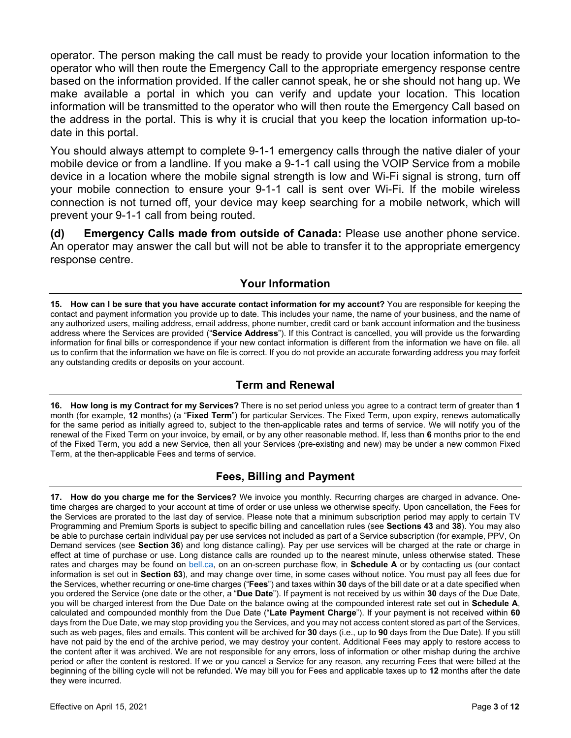operator. The person making the call must be ready to provide your location information to the operator who will then route the Emergency Call to the appropriate emergency response centre based on the information provided. If the caller cannot speak, he or she should not hang up. We make available a portal in which you can verify and update your location. This location information will be transmitted to the operator who will then route the Emergency Call based on the address in the portal. This is why it is crucial that you keep the location information up-todate in this portal.

You should always attempt to complete 9-1-1 emergency calls through the native dialer of your mobile device or from a landline. If you make a 9-1-1 call using the VOIP Service from a mobile device in a location where the mobile signal strength is low and Wi-Fi signal is strong, turn off your mobile connection to ensure your 9-1-1 call is sent over Wi-Fi. If the mobile wireless connection is not turned off, your device may keep searching for a mobile network, which will prevent your 9-1-1 call from being routed.

**(d) Emergency Calls made from outside of Canada:** Please use another phone service. An operator may answer the call but will not be able to transfer it to the appropriate emergency response centre.

## **Your Information**

**15. How can I be sure that you have accurate contact information for my account?** You are responsible for keeping the contact and payment information you provide up to date. This includes your name, the name of your business, and the name of any authorized users, mailing address, email address, phone number, credit card or bank account information and the business address where the Services are provided ("**Service Address**"). If this Contract is cancelled, you will provide us the forwarding information for final bills or correspondence if your new contact information is different from the information we have on file. all us to confirm that the information we have on file is correct. If you do not provide an accurate forwarding address you may forfeit any outstanding credits or deposits on your account.

# **Term and Renewal**

**16. How long is my Contract for my Services?** There is no set period unless you agree to a contract term of greater than **1** month (for example, **12** months) (a "**Fixed Term**") for particular Services. The Fixed Term, upon expiry, renews automatically for the same period as initially agreed to, subject to the then-applicable rates and terms of service. We will notify you of the renewal of the Fixed Term on your invoice, by email, or by any other reasonable method. If, less than **6** months prior to the end of the Fixed Term, you add a new Service, then all your Services (pre-existing and new) may be under a new common Fixed Term, at the then-applicable Fees and terms of service.

# **Fees, Billing and Payment**

**17. How do you charge me for the Services?** We invoice you monthly. Recurring charges are charged in advance. Onetime charges are charged to your account at time of order or use unless we otherwise specify. Upon cancellation, the Fees for the Services are prorated to the last day of service. Please note that a minimum subscription period may apply to certain TV Programming and Premium Sports is subject to specific billing and cancellation rules (see **Sections 43** and **38**). You may also be able to purchase certain individual pay per use services not included as part of a Service subscription (for example, PPV, On Demand services (see **Section 36**) and long distance calling). Pay per use services will be charged at the rate or charge in effect at time of purchase or use. Long distance calls are rounded up to the nearest minute, unless otherwise stated. These rates and charges may be found on bell.ca, on an on-screen purchase flow, in **Schedule A** or by contacting us (our contact information is set out in **Section 63**), and may change over time, in some cases without notice. You must pay all fees due for the Services, whether recurring or one-time charges ("**Fees**") and taxes within **30** days of the bill date or at a date specified when you ordered the Service (one date or the other, a "**Due Date**"). If payment is not received by us within **30** days of the Due Date, you will be charged interest from the Due Date on the balance owing at the compounded interest rate set out in **Schedule A**, calculated and compounded monthly from the Due Date ("**Late Payment Charge**"). If your payment is not received within **60** days from the Due Date, we may stop providing you the Services, and you may not access content stored as part of the Services, such as web pages, files and emails. This content will be archived for **30** days (i.e., up to **90** days from the Due Date). If you still have not paid by the end of the archive period, we may destroy your content. Additional Fees may apply to restore access to the content after it was archived. We are not responsible for any errors, loss of information or other mishap during the archive period or after the content is restored. If we or you cancel a Service for any reason, any recurring Fees that were billed at the beginning of the billing cycle will not be refunded. We may bill you for Fees and applicable taxes up to **12** months after the date they were incurred.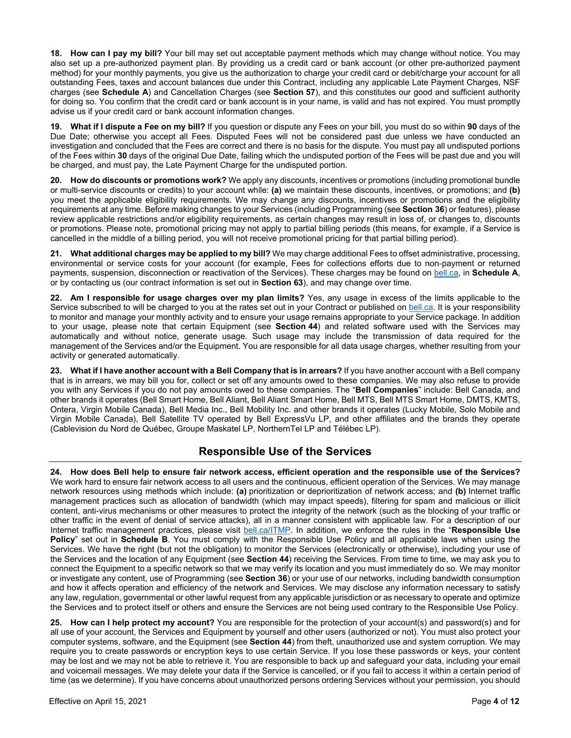**18. How can I pay my bill?** Your bill may set out acceptable payment methods which may change without notice. You may also set up a pre-authorized payment plan. By providing us a credit card or bank account (or other pre-authorized payment method) for your monthly payments, you give us the authorization to charge your credit card or debit/charge your account for all outstanding Fees, taxes and account balances due under this Contract, including any applicable Late Payment Charges, NSF charges (see **Schedule A**) and Cancellation Charges (see **Section 57**), and this constitutes our good and sufficient authority for doing so. You confirm that the credit card or bank account is in your name, is valid and has not expired. You must promptly advise us if your credit card or bank account information changes.

**19. What if I dispute a Fee on my bill?** If you question or dispute any Fees on your bill, you must do so within **90** days of the Due Date; otherwise you accept all Fees. Disputed Fees will not be considered past due unless we have conducted an investigation and concluded that the Fees are correct and there is no basis for the dispute. You must pay all undisputed portions of the Fees within **30** days of the original Due Date, failing which the undisputed portion of the Fees will be past due and you will be charged, and must pay, the Late Payment Charge for the undisputed portion.

**20. How do discounts or promotions work?** We apply any discounts, incentives or promotions (including promotional bundle or multi-service discounts or credits) to your account while: **(a)** we maintain these discounts, incentives, or promotions; and **(b)** you meet the applicable eligibility requirements. We may change any discounts, incentives or promotions and the eligibility requirements at any time. Before making changes to your Services (including Programming (see **Section 36**) or features), please review applicable restrictions and/or eligibility requirements, as certain changes may result in loss of, or changes to, discounts or promotions. Please note, promotional pricing may not apply to partial billing periods (this means, for example, if a Service is cancelled in the middle of a billing period, you will not receive promotional pricing for that partial billing period).

**21. What additional charges may be applied to my bill?** We may charge additional Fees to offset administrative, processing, environmental or service costs for your account (for example, Fees for collections efforts due to non-payment or returned payments, suspension, disconnection or reactivation of the Services). These charges may be found on bell.ca, in **Schedule A**, or by contacting us (our contract information is set out in **Section 63**), and may change over time.

**22. Am I responsible for usage charges over my plan limits?** Yes, any usage in excess of the limits applicable to the Service subscribed to will be charged to you at the rates set out in your Contract or published on bell.ca. It is your responsibility to monitor and manage your monthly activity and to ensure your usage remains appropriate to your Service package. In addition to your usage, please note that certain Equipment (see **Section 44**) and related software used with the Services may automatically and without notice, generate usage. Such usage may include the transmission of data required for the management of the Services and/or the Equipment. You are responsible for all data usage charges, whether resulting from your activity or generated automatically.

**23. What if I have another account with a Bell Company that is in arrears?** If you have another account with a Bell company that is in arrears, we may bill you for, collect or set off any amounts owed to these companies. We may also refuse to provide you with any Services if you do not pay amounts owed to these companies. The "**Bell Companies**" include: Bell Canada, and other brands it operates (Bell Smart Home, Bell Aliant, Bell Aliant Smart Home, Bell MTS, Bell MTS Smart Home, DMTS, KMTS, Ontera, Virgin Mobile Canada), Bell Media Inc., Bell Mobility Inc. and other brands it operates (Lucky Mobile, Solo Mobile and Virgin Mobile Canada), Bell Satellite TV operated by Bell ExpressVu LP, and other affiliates and the brands they operate (Cablevision du Nord de Québec, Groupe Maskatel LP, NorthernTel LP and Télébec LP).

# **Responsible Use of the Services**

**24. How does Bell help to ensure fair network access, efficient operation and the responsible use of the Services?** We work hard to ensure fair network access to all users and the continuous, efficient operation of the Services. We may manage network resources using methods which include: **(a)** prioritization or deprioritization of network access; and **(b)** Internet traffic management practices such as allocation of bandwidth (which may impact speeds), filtering for spam and malicious or illicit content, anti-virus mechanisms or other measures to protect the integrity of the network (such as the blocking of your traffic or other traffic in the event of denial of service attacks), all in a manner consistent with applicable law. For a description of our Internet traffic management practices, please visit bell.ca/ITMP. In addition, we enforce the rules in the "**Responsible Use Policy**" set out in **Schedule B**. You must comply with the Responsible Use Policy and all applicable laws when using the Services. We have the right (but not the obligation) to monitor the Services (electronically or otherwise), including your use of the Services and the location of any Equipment (see **Section 44**) receiving the Services. From time to time, we may ask you to connect the Equipment to a specific network so that we may verify its location and you must immediately do so. We may monitor or investigate any content, use of Programming (see **Section 36**) or your use of our networks, including bandwidth consumption and how it affects operation and efficiency of the network and Services. We may disclose any information necessary to satisfy any law, regulation, governmental or other lawful request from any applicable jurisdiction or as necessary to operate and optimize the Services and to protect itself or others and ensure the Services are not being used contrary to the Responsible Use Policy.

**25. How can I help protect my account?** You are responsible for the protection of your account(s) and password(s) and for all use of your account, the Services and Equipment by yourself and other users (authorized or not). You must also protect your computer systems, software, and the Equipment (see **Section 44**) from theft, unauthorized use and system corruption. We may require you to create passwords or encryption keys to use certain Service. If you lose these passwords or keys, your content may be lost and we may not be able to retrieve it. You are responsible to back up and safeguard your data, including your email and voicemail messages. We may delete your data if the Service is cancelled, or if you fail to access it within a certain period of time (as we determine). If you have concerns about unauthorized persons ordering Services without your permission, you should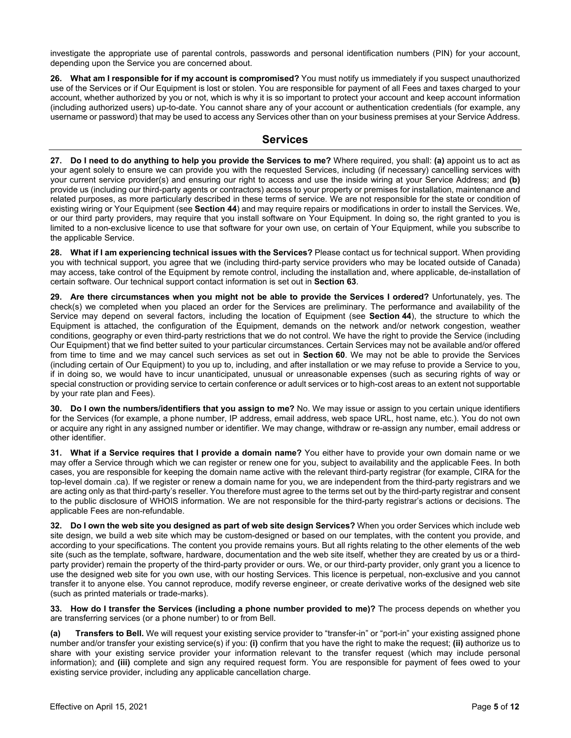investigate the appropriate use of parental controls, passwords and personal identification numbers (PIN) for your account, depending upon the Service you are concerned about.

**26. What am I responsible for if my account is compromised?** You must notify us immediately if you suspect unauthorized use of the Services or if Our Equipment is lost or stolen. You are responsible for payment of all Fees and taxes charged to your account, whether authorized by you or not, which is why it is so important to protect your account and keep account information (including authorized users) up-to-date. You cannot share any of your account or authentication credentials (for example, any username or password) that may be used to access any Services other than on your business premises at your Service Address.

#### **Services**

**27. Do I need to do anything to help you provide the Services to me?** Where required, you shall: **(a)** appoint us to act as your agent solely to ensure we can provide you with the requested Services, including (if necessary) cancelling services with your current service provider(s) and ensuring our right to access and use the inside wiring at your Service Address; and **(b)** provide us (including our third-party agents or contractors) access to your property or premises for installation, maintenance and related purposes, as more particularly described in these terms of service. We are not responsible for the state or condition of existing wiring or Your Equipment (see **Section 44**) and may require repairs or modifications in order to install the Services. We, or our third party providers, may require that you install software on Your Equipment. In doing so, the right granted to you is limited to a non-exclusive licence to use that software for your own use, on certain of Your Equipment, while you subscribe to the applicable Service.

**28. What if I am experiencing technical issues with the Services?** Please contact us for technical support. When providing you with technical support, you agree that we (including third-party service providers who may be located outside of Canada) may access, take control of the Equipment by remote control, including the installation and, where applicable, de-installation of certain software. Our technical support contact information is set out in **Section 63**.

**29. Are there circumstances when you might not be able to provide the Services I ordered?** Unfortunately, yes. The check(s) we completed when you placed an order for the Services are preliminary. The performance and availability of the Service may depend on several factors, including the location of Equipment (see **Section 44**), the structure to which the Equipment is attached, the configuration of the Equipment, demands on the network and/or network congestion, weather conditions, geography or even third-party restrictions that we do not control. We have the right to provide the Service (including Our Equipment) that we find better suited to your particular circumstances. Certain Services may not be available and/or offered from time to time and we may cancel such services as set out in **Section 60**. We may not be able to provide the Services (including certain of Our Equipment) to you up to, including, and after installation or we may refuse to provide a Service to you, if in doing so, we would have to incur unanticipated, unusual or unreasonable expenses (such as securing rights of way or special construction or providing service to certain conference or adult services or to high-cost areas to an extent not supportable by your rate plan and Fees).

**30. Do I own the numbers/identifiers that you assign to me?** No. We may issue or assign to you certain unique identifiers for the Services (for example, a phone number, IP address, email address, web space URL, host name, etc.). You do not own or acquire any right in any assigned number or identifier. We may change, withdraw or re-assign any number, email address or other identifier.

**31. What if a Service requires that I provide a domain name?** You either have to provide your own domain name or we may offer a Service through which we can register or renew one for you, subject to availability and the applicable Fees. In both cases, you are responsible for keeping the domain name active with the relevant third-party registrar (for example, CIRA for the top-level domain .ca). If we register or renew a domain name for you, we are independent from the third-party registrars and we are acting only as that third-party's reseller. You therefore must agree to the terms set out by the third-party registrar and consent to the public disclosure of WHOIS information. We are not responsible for the third-party registrar's actions or decisions. The applicable Fees are non-refundable.

**32. Do I own the web site you designed as part of web site design Services?** When you order Services which include web site design, we build a web site which may be custom-designed or based on our templates, with the content you provide, and according to your specifications. The content you provide remains yours. But all rights relating to the other elements of the web site (such as the template, software, hardware, documentation and the web site itself, whether they are created by us or a thirdparty provider) remain the property of the third-party provider or ours. We, or our third-party provider, only grant you a licence to use the designed web site for you own use, with our hosting Services. This licence is perpetual, non-exclusive and you cannot transfer it to anyone else. You cannot reproduce, modify reverse engineer, or create derivative works of the designed web site (such as printed materials or trade-marks).

**33. How do I transfer the Services (including a phone number provided to me)?** The process depends on whether you are transferring services (or a phone number) to or from Bell.

**(a) Transfers to Bell.** We will request your existing service provider to "transfer-in" or "port-in" your existing assigned phone number and/or transfer your existing service(s) if you: **(i)** confirm that you have the right to make the request; **(ii)** authorize us to share with your existing service provider your information relevant to the transfer request (which may include personal information); and **(iii)** complete and sign any required request form. You are responsible for payment of fees owed to your existing service provider, including any applicable cancellation charge.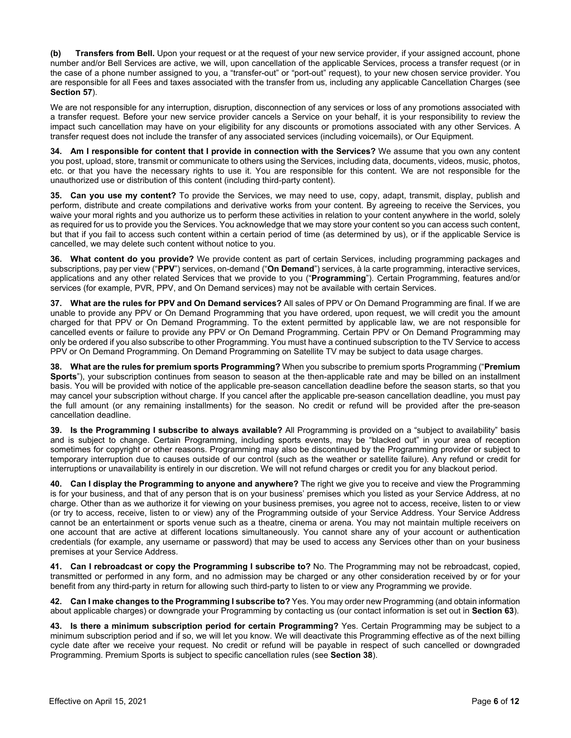**(b) Transfers from Bell.** Upon your request or at the request of your new service provider, if your assigned account, phone number and/or Bell Services are active, we will, upon cancellation of the applicable Services, process a transfer request (or in the case of a phone number assigned to you, a "transfer-out" or "port-out" request), to your new chosen service provider. You are responsible for all Fees and taxes associated with the transfer from us, including any applicable Cancellation Charges (see **Section 57**).

We are not responsible for any interruption, disruption, disconnection of any services or loss of any promotions associated with a transfer request. Before your new service provider cancels a Service on your behalf, it is your responsibility to review the impact such cancellation may have on your eligibility for any discounts or promotions associated with any other Services. A transfer request does not include the transfer of any associated services (including voicemails), or Our Equipment.

**34. Am I responsible for content that I provide in connection with the Services?** We assume that you own any content you post, upload, store, transmit or communicate to others using the Services, including data, documents, videos, music, photos, etc. or that you have the necessary rights to use it. You are responsible for this content. We are not responsible for the unauthorized use or distribution of this content (including third-party content).

**35. Can you use my content?** To provide the Services, we may need to use, copy, adapt, transmit, display, publish and perform, distribute and create compilations and derivative works from your content. By agreeing to receive the Services, you waive your moral rights and you authorize us to perform these activities in relation to your content anywhere in the world, solely as required for us to provide you the Services. You acknowledge that we may store your content so you can access such content, but that if you fail to access such content within a certain period of time (as determined by us), or if the applicable Service is cancelled, we may delete such content without notice to you.

**36. What content do you provide?** We provide content as part of certain Services, including programming packages and subscriptions, pay per view ("**PPV**") services, on-demand ("**On Demand**") services, à la carte programming, interactive services, applications and any other related Services that we provide to you ("**Programming**"). Certain Programming, features and/or services (for example, PVR, PPV, and On Demand services) may not be available with certain Services.

**37. What are the rules for PPV and On Demand services?** All sales of PPV or On Demand Programming are final. If we are unable to provide any PPV or On Demand Programming that you have ordered, upon request, we will credit you the amount charged for that PPV or On Demand Programming. To the extent permitted by applicable law, we are not responsible for cancelled events or failure to provide any PPV or On Demand Programming. Certain PPV or On Demand Programming may only be ordered if you also subscribe to other Programming. You must have a continued subscription to the TV Service to access PPV or On Demand Programming. On Demand Programming on Satellite TV may be subject to data usage charges.

**38. What are the rules for premium sports Programming?** When you subscribe to premium sports Programming ("**Premium Sports**"), your subscription continues from season to season at the then-applicable rate and may be billed on an installment basis. You will be provided with notice of the applicable pre-season cancellation deadline before the season starts, so that you may cancel your subscription without charge. If you cancel after the applicable pre-season cancellation deadline, you must pay the full amount (or any remaining installments) for the season. No credit or refund will be provided after the pre-season cancellation deadline.

**39. Is the Programming I subscribe to always available?** All Programming is provided on a "subject to availability" basis and is subject to change. Certain Programming, including sports events, may be "blacked out" in your area of reception sometimes for copyright or other reasons. Programming may also be discontinued by the Programming provider or subject to temporary interruption due to causes outside of our control (such as the weather or satellite failure). Any refund or credit for interruptions or unavailability is entirely in our discretion. We will not refund charges or credit you for any blackout period.

**40. Can I display the Programming to anyone and anywhere?** The right we give you to receive and view the Programming is for your business, and that of any person that is on your business' premises which you listed as your Service Address, at no charge. Other than as we authorize it for viewing on your business premises, you agree not to access, receive, listen to or view (or try to access, receive, listen to or view) any of the Programming outside of your Service Address. Your Service Address cannot be an entertainment or sports venue such as a theatre, cinema or arena. You may not maintain multiple receivers on one account that are active at different locations simultaneously. You cannot share any of your account or authentication credentials (for example, any username or password) that may be used to access any Services other than on your business premises at your Service Address.

**41. Can I rebroadcast or copy the Programming I subscribe to?** No. The Programming may not be rebroadcast, copied, transmitted or performed in any form, and no admission may be charged or any other consideration received by or for your benefit from any third-party in return for allowing such third-party to listen to or view any Programming we provide.

**42. Can I make changes to the Programming I subscribe to?** Yes. You may order new Programming (and obtain information about applicable charges) or downgrade your Programming by contacting us (our contact information is set out in **Section 63**).

**43. Is there a minimum subscription period for certain Programming?** Yes. Certain Programming may be subject to a minimum subscription period and if so, we will let you know. We will deactivate this Programming effective as of the next billing cycle date after we receive your request. No credit or refund will be payable in respect of such cancelled or downgraded Programming. Premium Sports is subject to specific cancellation rules (see **Section 38**).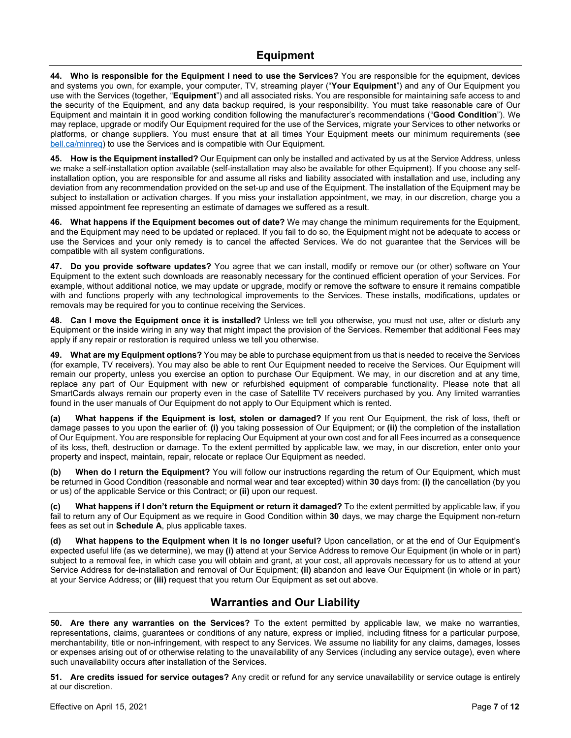**44. Who is responsible for the Equipment I need to use the Services?** You are responsible for the equipment, devices and systems you own, for example, your computer, TV, streaming player ("**Your Equipment**") and any of Our Equipment you use with the Services (together, "**Equipment**") and all associated risks. You are responsible for maintaining safe access to and the security of the Equipment, and any data backup required, is your responsibility. You must take reasonable care of Our Equipment and maintain it in good working condition following the manufacturer's recommendations ("**Good Condition**"). We may replace, upgrade or modify Our Equipment required for the use of the Services, migrate your Services to other networks or platforms, or change suppliers. You must ensure that at all times Your Equipment meets our minimum requirements (see bell.ca/minreq) to use the Services and is compatible with Our Equipment.

**45. How is the Equipment installed?** Our Equipment can only be installed and activated by us at the Service Address, unless we make a self-installation option available (self-installation may also be available for other Equipment). If you choose any selfinstallation option, you are responsible for and assume all risks and liability associated with installation and use, including any deviation from any recommendation provided on the set-up and use of the Equipment. The installation of the Equipment may be subject to installation or activation charges. If you miss your installation appointment, we may, in our discretion, charge you a missed appointment fee representing an estimate of damages we suffered as a result.

**46. What happens if the Equipment becomes out of date?** We may change the minimum requirements for the Equipment, and the Equipment may need to be updated or replaced. If you fail to do so, the Equipment might not be adequate to access or use the Services and your only remedy is to cancel the affected Services. We do not guarantee that the Services will be compatible with all system configurations.

**47. Do you provide software updates?** You agree that we can install, modify or remove our (or other) software on Your Equipment to the extent such downloads are reasonably necessary for the continued efficient operation of your Services. For example, without additional notice, we may update or upgrade, modify or remove the software to ensure it remains compatible with and functions properly with any technological improvements to the Services. These installs, modifications, updates or removals may be required for you to continue receiving the Services.

**48. Can I move the Equipment once it is installed?** Unless we tell you otherwise, you must not use, alter or disturb any Equipment or the inside wiring in any way that might impact the provision of the Services. Remember that additional Fees may apply if any repair or restoration is required unless we tell you otherwise.

**49. What are my Equipment options?** You may be able to purchase equipment from us that is needed to receive the Services (for example, TV receivers). You may also be able to rent Our Equipment needed to receive the Services. Our Equipment will remain our property, unless you exercise an option to purchase Our Equipment. We may, in our discretion and at any time, replace any part of Our Equipment with new or refurbished equipment of comparable functionality. Please note that all SmartCards always remain our property even in the case of Satellite TV receivers purchased by you. Any limited warranties found in the user manuals of Our Equipment do not apply to Our Equipment which is rented.

**(a) What happens if the Equipment is lost, stolen or damaged?** If you rent Our Equipment, the risk of loss, theft or damage passes to you upon the earlier of: **(i)** you taking possession of Our Equipment; or **(ii)** the completion of the installation of Our Equipment. You are responsible for replacing Our Equipment at your own cost and for all Fees incurred as a consequence of its loss, theft, destruction or damage. To the extent permitted by applicable law, we may, in our discretion, enter onto your property and inspect, maintain, repair, relocate or replace Our Equipment as needed.

**(b) When do I return the Equipment?** You will follow our instructions regarding the return of Our Equipment, which must be returned in Good Condition (reasonable and normal wear and tear excepted) within **30** days from: **(i)** the cancellation (by you or us) of the applicable Service or this Contract; or **(ii)** upon our request.

**(c) What happens if I don't return the Equipment or return it damaged?** To the extent permitted by applicable law, if you fail to return any of Our Equipment as we require in Good Condition within **30** days, we may charge the Equipment non-return fees as set out in **Schedule A**, plus applicable taxes.

**(d) What happens to the Equipment when it is no longer useful?** Upon cancellation, or at the end of Our Equipment's expected useful life (as we determine), we may **(i)** attend at your Service Address to remove Our Equipment (in whole or in part) subject to a removal fee, in which case you will obtain and grant, at your cost, all approvals necessary for us to attend at your Service Address for de-installation and removal of Our Equipment; **(ii)** abandon and leave Our Equipment (in whole or in part) at your Service Address; or **(iii)** request that you return Our Equipment as set out above.

### **Warranties and Our Liability**

**50. Are there any warranties on the Services?** To the extent permitted by applicable law, we make no warranties, representations, claims, guarantees or conditions of any nature, express or implied, including fitness for a particular purpose, merchantability, title or non-infringement, with respect to any Services. We assume no liability for any claims, damages, losses or expenses arising out of or otherwise relating to the unavailability of any Services (including any service outage), even where such unavailability occurs after installation of the Services.

**51. Are credits issued for service outages?** Any credit or refund for any service unavailability or service outage is entirely at our discretion.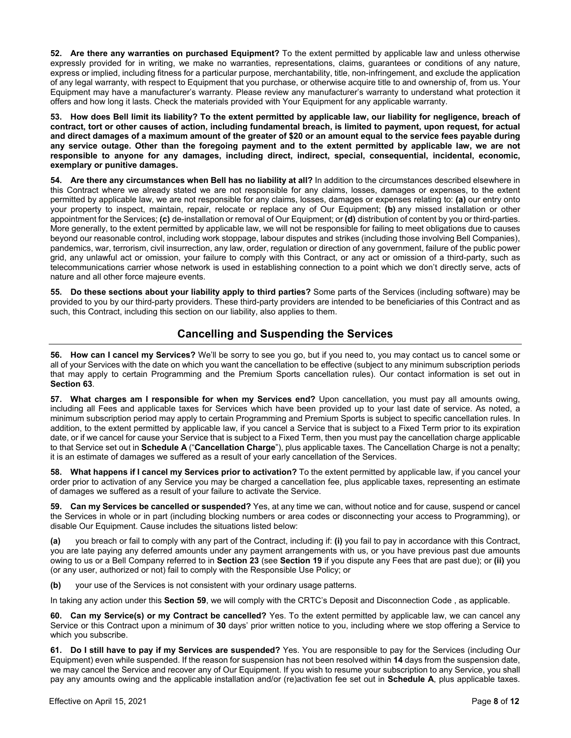**52. Are there any warranties on purchased Equipment?** To the extent permitted by applicable law and unless otherwise expressly provided for in writing, we make no warranties, representations, claims, guarantees or conditions of any nature, express or implied, including fitness for a particular purpose, merchantability, title, non-infringement, and exclude the application of any legal warranty, with respect to Equipment that you purchase, or otherwise acquire title to and ownership of, from us. Your Equipment may have a manufacturer's warranty. Please review any manufacturer's warranty to understand what protection it offers and how long it lasts. Check the materials provided with Your Equipment for any applicable warranty.

**53. How does Bell limit its liability? To the extent permitted by applicable law, our liability for negligence, breach of contract, tort or other causes of action, including fundamental breach, is limited to payment, upon request, for actual and direct damages of a maximum amount of the greater of \$20 or an amount equal to the service fees payable during any service outage. Other than the foregoing payment and to the extent permitted by applicable law, we are not responsible to anyone for any damages, including direct, indirect, special, consequential, incidental, economic, exemplary or punitive damages.** 

**54. Are there any circumstances when Bell has no liability at all?** In addition to the circumstances described elsewhere in this Contract where we already stated we are not responsible for any claims, losses, damages or expenses, to the extent permitted by applicable law, we are not responsible for any claims, losses, damages or expenses relating to: **(a)** our entry onto your property to inspect, maintain, repair, relocate or replace any of Our Equipment; **(b)** any missed installation or other appointment for the Services; **(c)** de-installation or removal of Our Equipment; or **(d)** distribution of content by you or third-parties. More generally, to the extent permitted by applicable law, we will not be responsible for failing to meet obligations due to causes beyond our reasonable control, including work stoppage, labour disputes and strikes (including those involving Bell Companies), pandemics, war, terrorism, civil insurrection, any law, order, regulation or direction of any government, failure of the public power grid, any unlawful act or omission, your failure to comply with this Contract, or any act or omission of a third-party, such as telecommunications carrier whose network is used in establishing connection to a point which we don't directly serve, acts of nature and all other force majeure events.

**55. Do these sections about your liability apply to third parties?** Some parts of the Services (including software) may be provided to you by our third-party providers. These third-party providers are intended to be beneficiaries of this Contract and as such, this Contract, including this section on our liability, also applies to them.

### **Cancelling and Suspending the Services**

**56. How can I cancel my Services?** We'll be sorry to see you go, but if you need to, you may contact us to cancel some or all of your Services with the date on which you want the cancellation to be effective (subject to any minimum subscription periods that may apply to certain Programming and the Premium Sports cancellation rules). Our contact information is set out in **Section 63**.

**57. What charges am I responsible for when my Services end?** Upon cancellation, you must pay all amounts owing, including all Fees and applicable taxes for Services which have been provided up to your last date of service. As noted, a minimum subscription period may apply to certain Programming and Premium Sports is subject to specific cancellation rules. In addition, to the extent permitted by applicable law, if you cancel a Service that is subject to a Fixed Term prior to its expiration date, or if we cancel for cause your Service that is subject to a Fixed Term, then you must pay the cancellation charge applicable to that Service set out in **Schedule A** ("**Cancellation Charge**"), plus applicable taxes. The Cancellation Charge is not a penalty; it is an estimate of damages we suffered as a result of your early cancellation of the Services.

**58. What happens if I cancel my Services prior to activation?** To the extent permitted by applicable law, if you cancel your order prior to activation of any Service you may be charged a cancellation fee, plus applicable taxes, representing an estimate of damages we suffered as a result of your failure to activate the Service.

**59. Can my Services be cancelled or suspended?** Yes, at any time we can, without notice and for cause, suspend or cancel the Services in whole or in part (including blocking numbers or area codes or disconnecting your access to Programming), or disable Our Equipment. Cause includes the situations listed below:

**(a)** you breach or fail to comply with any part of the Contract, including if: **(i)** you fail to pay in accordance with this Contract, you are late paying any deferred amounts under any payment arrangements with us, or you have previous past due amounts owing to us or a Bell Company referred to in **Section 23** (see **Section 19** if you dispute any Fees that are past due); or **(ii)** you (or any user, authorized or not) fail to comply with the Responsible Use Policy; or

**(b)** your use of the Services is not consistent with your ordinary usage patterns.

In taking any action under this **Section 59**, we will comply with the CRTC's Deposit and Disconnection Code , as applicable.

**60. Can my Service(s) or my Contract be cancelled?** Yes. To the extent permitted by applicable law, we can cancel any Service or this Contract upon a minimum of **30** days' prior written notice to you, including where we stop offering a Service to which you subscribe.

**61. Do I still have to pay if my Services are suspended?** Yes. You are responsible to pay for the Services (including Our Equipment) even while suspended. If the reason for suspension has not been resolved within **14** days from the suspension date, we may cancel the Service and recover any of Our Equipment. If you wish to resume your subscription to any Service, you shall pay any amounts owing and the applicable installation and/or (re)activation fee set out in **Schedule A**, plus applicable taxes.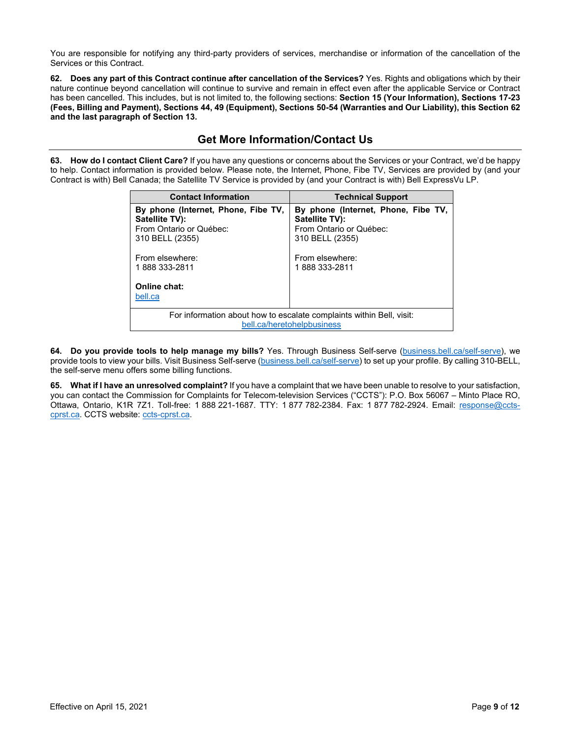You are responsible for notifying any third-party providers of services, merchandise or information of the cancellation of the Services or this Contract.

**62. Does any part of this Contract continue after cancellation of the Services?** Yes. Rights and obligations which by their nature continue beyond cancellation will continue to survive and remain in effect even after the applicable Service or Contract has been cancelled. This includes, but is not limited to, the following sections: **Section 15 (Your Information), Sections 17-23 (Fees, Billing and Payment), Sections 44, 49 (Equipment), Sections 50-54 (Warranties and Our Liability), this Section 62 and the last paragraph of Section 13.**

#### **Get More Information/Contact Us**

**63. How do I contact Client Care?** If you have any questions or concerns about the Services or your Contract, we'd be happy to help. Contact information is provided below. Please note, the Internet, Phone, Fibe TV, Services are provided by (and your Contract is with) Bell Canada; the Satellite TV Service is provided by (and your Contract is with) Bell ExpressVu LP.

| <b>Contact Information</b>                                                                                                              | <b>Technical Support</b>                                                                                                                |
|-----------------------------------------------------------------------------------------------------------------------------------------|-----------------------------------------------------------------------------------------------------------------------------------------|
| By phone (Internet, Phone, Fibe TV,<br>Satellite TV):<br>From Ontario or Québec:<br>310 BELL (2355)<br>From elsewhere:<br>1888 333-2811 | By phone (Internet, Phone, Fibe TV,<br>Satellite TV):<br>From Ontario or Québec:<br>310 BELL (2355)<br>From elsewhere:<br>1888 333-2811 |
| Online chat:<br>bell.ca                                                                                                                 |                                                                                                                                         |
| For information about how to escalate complaints within Bell, visit:<br>bell.ca/heretohelpbusiness                                      |                                                                                                                                         |

**64. Do you provide tools to help manage my bills?** Yes. Through Business Self-serve (business.bell.ca/self-serve), we provide tools to view your bills. Visit Business Self-serve (business.bell.ca/self-serve) to set up your profile. By calling 310-BELL, the self-serve menu offers some billing functions.

**65. What if I have an unresolved complaint?** If you have a complaint that we have been unable to resolve to your satisfaction, you can contact the Commission for Complaints for Telecom-television Services ("CCTS"): P.O. Box 56067 – Minto Place RO, Ottawa, Ontario, K1R 7Z1. Toll-free: 1 888 221-1687. TTY: 1 877 782-2384. Fax: 1 877 782-2924. Email: response@cctscprst.ca. CCTS website: ccts-cprst.ca.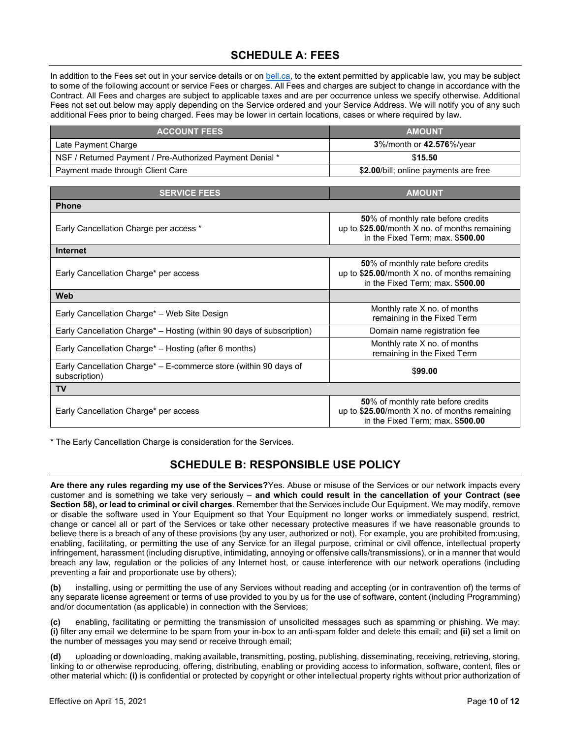# **SCHEDULE A: FEES**

In addition to the Fees set out in your service details or on bell.ca, to the extent permitted by applicable law, you may be subject to some of the following account or service Fees or charges. All Fees and charges are subject to change in accordance with the Contract. All Fees and charges are subject to applicable taxes and are per occurrence unless we specify otherwise. Additional Fees not set out below may apply depending on the Service ordered and your Service Address. We will notify you of any such additional Fees prior to being charged. Fees may be lower in certain locations, cases or where required by law.

| <b>ACCOUNT FEES</b>                                      | <b>AMOUNT</b>                         |
|----------------------------------------------------------|---------------------------------------|
| Late Payment Charge                                      | 3%/month or 42.576%/year              |
| NSF / Returned Payment / Pre-Authorized Payment Denial * | \$15.50                               |
| Payment made through Client Care                         | \$2.00/bill; online payments are free |

| <b>SERVICE FEES</b>                                                               | <b>AMOUNT</b>                                                                                                             |  |
|-----------------------------------------------------------------------------------|---------------------------------------------------------------------------------------------------------------------------|--|
| <b>Phone</b>                                                                      |                                                                                                                           |  |
| Early Cancellation Charge per access *                                            | 50% of monthly rate before credits<br>up to \$25.00/month X no. of months remaining<br>in the Fixed Term; max. \$500.00   |  |
| <b>Internet</b>                                                                   |                                                                                                                           |  |
| Early Cancellation Charge* per access                                             | 50% of monthly rate before credits<br>up to $$25.00/m$ onth X no. of months remaining<br>in the Fixed Term; max. \$500.00 |  |
| Web                                                                               |                                                                                                                           |  |
| Early Cancellation Charge* - Web Site Design                                      | Monthly rate X no. of months<br>remaining in the Fixed Term                                                               |  |
| Early Cancellation Charge* – Hosting (within 90 days of subscription)             | Domain name registration fee                                                                                              |  |
| Early Cancellation Charge* - Hosting (after 6 months)                             | Monthly rate X no. of months<br>remaining in the Fixed Term                                                               |  |
| Early Cancellation Charge* - E-commerce store (within 90 days of<br>subscription) | \$99.00                                                                                                                   |  |
| <b>TV</b>                                                                         |                                                                                                                           |  |
| Early Cancellation Charge* per access                                             | 50% of monthly rate before credits<br>up to \$25.00/month X no. of months remaining<br>in the Fixed Term; max. \$500.00   |  |

\* The Early Cancellation Charge is consideration for the Services.

# **SCHEDULE B: RESPONSIBLE USE POLICY**

**Are there any rules regarding my use of the Services?**Yes. Abuse or misuse of the Services or our network impacts every customer and is something we take very seriously – **and which could result in the cancellation of your Contract (see Section 58), or lead to criminal or civil charges**. Remember that the Services include Our Equipment. We may modify, remove or disable the software used in Your Equipment so that Your Equipment no longer works or immediately suspend, restrict, change or cancel all or part of the Services or take other necessary protective measures if we have reasonable grounds to believe there is a breach of any of these provisions (by any user, authorized or not). For example, you are prohibited from:using, enabling, facilitating, or permitting the use of any Service for an illegal purpose, criminal or civil offence, intellectual property infringement, harassment (including disruptive, intimidating, annoying or offensive calls/transmissions), or in a manner that would breach any law, regulation or the policies of any Internet host, or cause interference with our network operations (including preventing a fair and proportionate use by others);

**(b)** installing, using or permitting the use of any Services without reading and accepting (or in contravention of) the terms of any separate license agreement or terms of use provided to you by us for the use of software, content (including Programming) and/or documentation (as applicable) in connection with the Services;

**(c)** enabling, facilitating or permitting the transmission of unsolicited messages such as spamming or phishing. We may: **(i)** filter any email we determine to be spam from your in-box to an anti-spam folder and delete this email; and **(ii)** set a limit on the number of messages you may send or receive through email;

**(d)** uploading or downloading, making available, transmitting, posting, publishing, disseminating, receiving, retrieving, storing, linking to or otherwise reproducing, offering, distributing, enabling or providing access to information, software, content, files or other material which: **(i)** is confidential or protected by copyright or other intellectual property rights without prior authorization of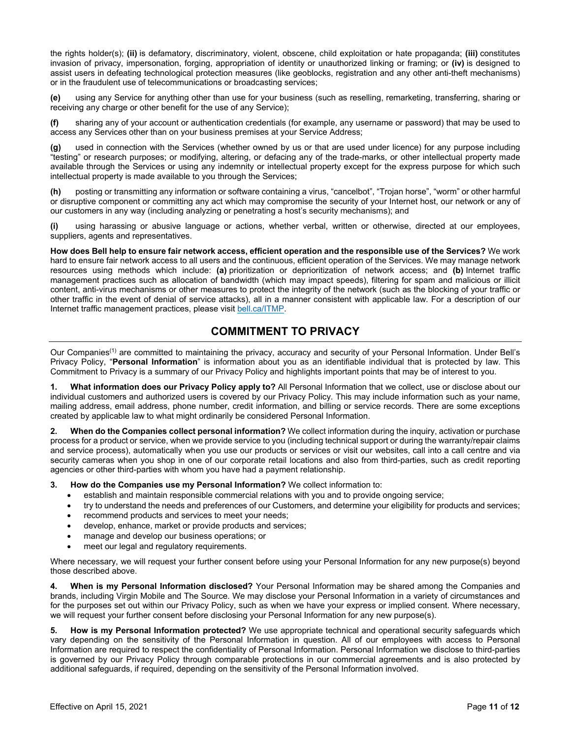the rights holder(s); **(ii)** is defamatory, discriminatory, violent, obscene, child exploitation or hate propaganda; **(iii)** constitutes invasion of privacy, impersonation, forging, appropriation of identity or unauthorized linking or framing; or **(iv)** is designed to assist users in defeating technological protection measures (like geoblocks, registration and any other anti-theft mechanisms) or in the fraudulent use of telecommunications or broadcasting services;

**(e)** using any Service for anything other than use for your business (such as reselling, remarketing, transferring, sharing or receiving any charge or other benefit for the use of any Service);

**(f)** sharing any of your account or authentication credentials (for example, any username or password) that may be used to access any Services other than on your business premises at your Service Address;

**(g)** used in connection with the Services (whether owned by us or that are used under licence) for any purpose including "testing" or research purposes; or modifying, altering, or defacing any of the trade-marks, or other intellectual property made available through the Services or using any indemnity or intellectual property except for the express purpose for which such intellectual property is made available to you through the Services;

**(h)** posting or transmitting any information or software containing a virus, "cancelbot", "Trojan horse", "worm" or other harmful or disruptive component or committing any act which may compromise the security of your Internet host, our network or any of our customers in any way (including analyzing or penetrating a host's security mechanisms); and

**(i)** using harassing or abusive language or actions, whether verbal, written or otherwise, directed at our employees, suppliers, agents and representatives.

**How does Bell help to ensure fair network access, efficient operation and the responsible use of the Services?** We work hard to ensure fair network access to all users and the continuous, efficient operation of the Services. We may manage network resources using methods which include: **(a)** prioritization or deprioritization of network access; and **(b)** Internet traffic management practices such as allocation of bandwidth (which may impact speeds), filtering for spam and malicious or illicit content, anti-virus mechanisms or other measures to protect the integrity of the network (such as the blocking of your traffic or other traffic in the event of denial of service attacks), all in a manner consistent with applicable law. For a description of our Internet traffic management practices, please visit bell.ca/ITMP.

## **COMMITMENT TO PRIVACY**

Our Companies<sup>(1)</sup> are committed to maintaining the privacy, accuracy and security of your Personal Information. Under Bell's Privacy Policy, "**Personal Information**" is information about you as an identifiable individual that is protected by law. This Commitment to Privacy is a summary of our Privacy Policy and highlights important points that may be of interest to you.

**1. What information does our Privacy Policy apply to?** All Personal Information that we collect, use or disclose about our individual customers and authorized users is covered by our Privacy Policy. This may include information such as your name, mailing address, email address, phone number, credit information, and billing or service records. There are some exceptions created by applicable law to what might ordinarily be considered Personal Information.

**2. When do the Companies collect personal information?** We collect information during the inquiry, activation or purchase process for a product or service, when we provide service to you (including technical support or during the warranty/repair claims and service process), automatically when you use our products or services or visit our websites, call into a call centre and via security cameras when you shop in one of our corporate retail locations and also from third-parties, such as credit reporting agencies or other third-parties with whom you have had a payment relationship.

**3. How do the Companies use my Personal Information?** We collect information to:

- establish and maintain responsible commercial relations with you and to provide ongoing service;
- try to understand the needs and preferences of our Customers, and determine your eligibility for products and services;
- recommend products and services to meet your needs;
- develop, enhance, market or provide products and services;
- manage and develop our business operations; or
- meet our legal and regulatory requirements.

Where necessary, we will request your further consent before using your Personal Information for any new purpose(s) beyond those described above.

**4. When is my Personal Information disclosed?** Your Personal Information may be shared among the Companies and brands, including Virgin Mobile and The Source. We may disclose your Personal Information in a variety of circumstances and for the purposes set out within our Privacy Policy, such as when we have your express or implied consent. Where necessary, we will request your further consent before disclosing your Personal Information for any new purpose(s).

**5. How is my Personal Information protected?** We use appropriate technical and operational security safeguards which vary depending on the sensitivity of the Personal Information in question. All of our employees with access to Personal Information are required to respect the confidentiality of Personal Information. Personal Information we disclose to third-parties is governed by our Privacy Policy through comparable protections in our commercial agreements and is also protected by additional safeguards, if required, depending on the sensitivity of the Personal Information involved.